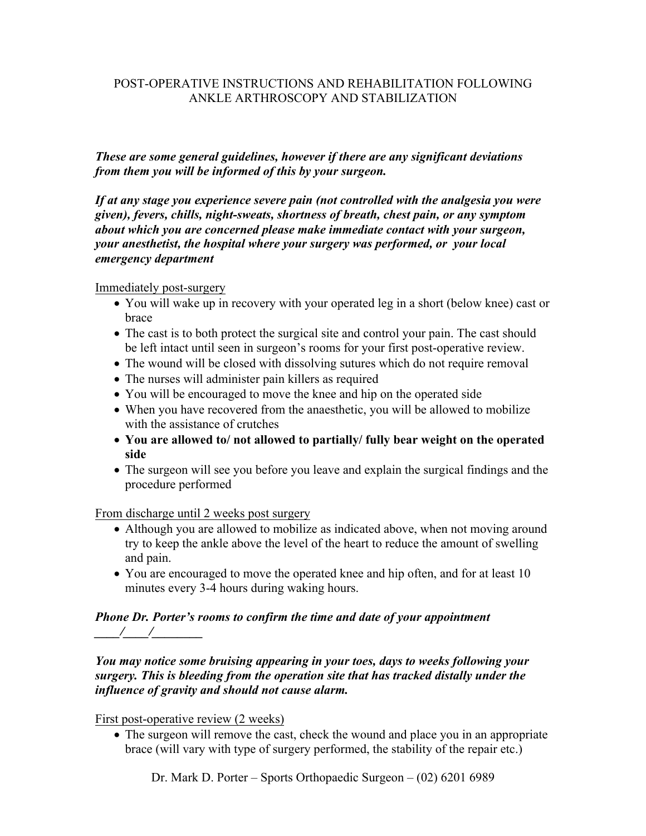### POST-OPERATIVE INSTRUCTIONS AND REHABILITATION FOLLOWING ANKLE ARTHROSCOPY AND STABILIZATION

*These are some general guidelines, however if there are any significant deviations from them you will be informed of this by your surgeon.* 

*If at any stage you experience severe pain (not controlled with the analgesia you were given), fevers, chills, night-sweats, shortness of breath, chest pain, or any symptom about which you are concerned please make immediate contact with your surgeon, your anesthetist, the hospital where your surgery was performed, or your local emergency department*

Immediately post-surgery

- You will wake up in recovery with your operated leg in a short (below knee) cast or brace
- The cast is to both protect the surgical site and control your pain. The cast should be left intact until seen in surgeon's rooms for your first post-operative review.
- The wound will be closed with dissolving sutures which do not require removal
- The nurses will administer pain killers as required
- You will be encouraged to move the knee and hip on the operated side
- When you have recovered from the anaesthetic, you will be allowed to mobilize with the assistance of crutches
- **You are allowed to/ not allowed to partially/ fully bear weight on the operated side**
- The surgeon will see you before you leave and explain the surgical findings and the procedure performed

From discharge until 2 weeks post surgery

- Although you are allowed to mobilize as indicated above, when not moving around try to keep the ankle above the level of the heart to reduce the amount of swelling and pain.
- You are encouraged to move the operated knee and hip often, and for at least 10 minutes every 3-4 hours during waking hours.

### *Phone Dr. Porter's rooms to confirm the time and date of your appointment \_\_\_\_/\_\_\_\_/\_\_\_\_\_\_\_\_*

*You may notice some bruising appearing in your toes, days to weeks following your surgery. This is bleeding from the operation site that has tracked distally under the influence of gravity and should not cause alarm.* 

First post-operative review (2 weeks)

• The surgeon will remove the cast, check the wound and place you in an appropriate brace (will vary with type of surgery performed, the stability of the repair etc.)

Dr. Mark D. Porter – Sports Orthopaedic Surgeon – (02) 6201 6989